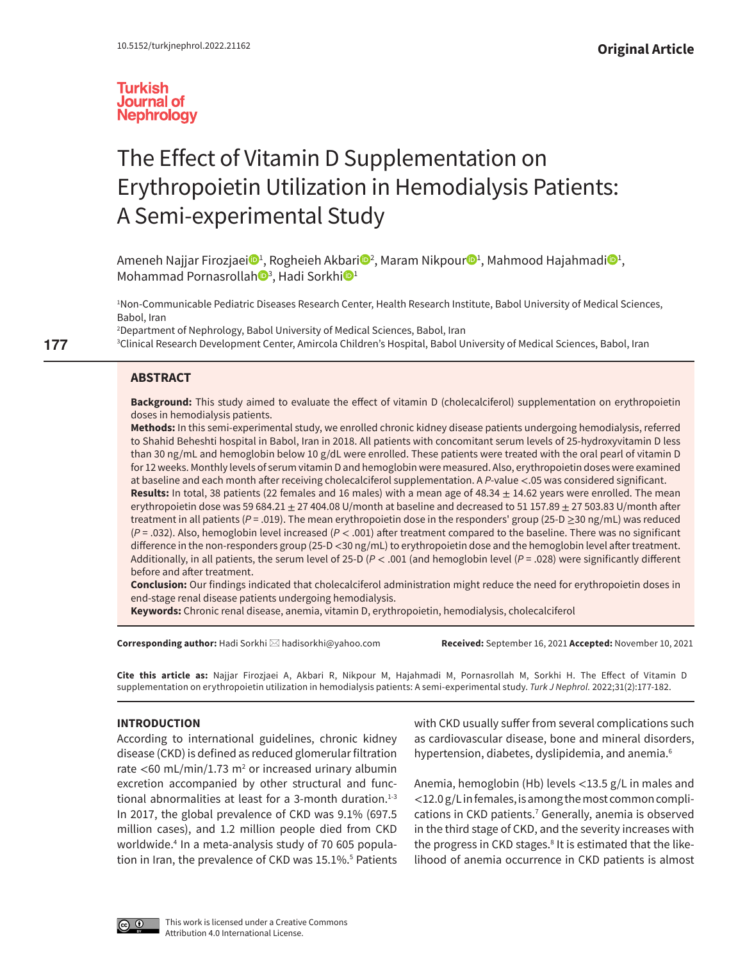

# The Effect of Vitamin D Supplementation on Erythropoietin Utilization in Hemodialysis Patients: A Semi-experimental Study

Ameneh Najjar F[i](http://orcid.org/0000-0003-4592-7013)[r](http://orcid.org/0000-0001-6821-0010)ozjaei❶<sup>ı</sup>, Rogheieh Akbari◎<sup>2</sup>, Maram Nikpour®<sup>ı</sup>, Mahmood Hajahmadi◎<sup>ı</sup>, Mohammad Pornasrollah®<sup>[3](http://orcid.org/0000-0002-3161-1440)</sup>, Had[i](http://orcid.org/0000-0002-0890-1298) Sorkhi®<sup>1</sup>

1 Non-Communicable Pediatric Diseases Research Center, Health Research Institute, Babol University of Medical Sciences, Babol, Iran

2 Department of Nephrology, Babol University of Medical Sciences, Babol, Iran

3 Clinical Research Development Center, Amircola Children's Hospital, Babol University of Medical Sciences, Babol, Iran

# **ABSTRACT**

**Background:** This study aimed to evaluate the effect of vitamin D (cholecalciferol) supplementation on erythropoietin doses in hemodialysis patients.

**Methods:** In this semi-experimental study, we enrolled chronic kidney disease patients undergoing hemodialysis, referred to Shahid Beheshti hospital in Babol, Iran in 2018. All patients with concomitant serum levels of 25-hydroxyvitamin D less than 30 ng/mL and hemoglobin below 10 g/dL were enrolled. These patients were treated with the oral pearl of vitamin D for 12 weeks. Monthly levels of serum vitamin D and hemoglobin were measured. Also, erythropoietin doses were examined at baseline and each month after receiving cholecalciferol supplementation. A *P*-value <.05 was considered significant.

**Results:** In total, 38 patients (22 females and 16 males) with a mean age of  $48.34 \pm 14.62$  years were enrolled. The mean erythropoietin dose was 59 684.21  $\pm$  27 404.08 U/month at baseline and decreased to 51 157.89  $\pm$  27 503.83 U/month after treatment in all patients (*P* = .019). The mean erythropoietin dose in the responders' group (25-D ≥30 ng/mL) was reduced (*P* = .032). Also, hemoglobin level increased (*P* < .001) after treatment compared to the baseline. There was no significant difference in the non-responders group (25-D <30 ng/mL) to erythropoietin dose and the hemoglobin level after treatment. Additionally, in all patients, the serum level of 25-D (*P* < .001 (and hemoglobin level (*P* = .028) were significantly different before and after treatment.

**Conclusion:** Our findings indicated that cholecalciferol administration might reduce the need for erythropoietin doses in end-stage renal disease patients undergoing hemodialysis.

**Keywords:** Chronic renal disease, anemia, vitamin D, erythropoietin, hemodialysis, cholecalciferol

**Corresponding author:** Hadi Sorkhi [hadisorkhi@yahoo.com](mailto:hadisorkhi@yahoo.com) **Received:** September 16, 2021 **Accepted:** November 10, 2021

**Cite this article as:** Najjar Firozjaei A, Akbari R, Nikpour M, Hajahmadi M, Pornasrollah M, Sorkhi H. The Effect of Vitamin D supplementation on erythropoietin utilization in hemodialysis patients: A semi-experimental study. *Turk J Nephrol.* 2022;31(2):177-182.

# **INTRODUCTION**

According to international guidelines, chronic kidney disease (CKD) is defined as reduced glomerular filtration rate <60 mL/min/1.73  $m^2$  $m^2$  or increased urinary albumin excretion accompanied by other structural and functional abnormalities at least for a 3-month duration. $1-3$  $1-3$ In 2017, the global prevalence of CKD was 9.1% (697.5 million cases), and 1.2 million people died from CKD worldwide[.4](#page-4-3) In a meta-analysis study of 70 605 popula-tion in Iran, the prevalence of CKD was 1[5](#page-4-4).1%.<sup>5</sup> Patients

with CKD usually suffer from several complications such as cardiovascular disease, bone and mineral disorders, hypertension, diabetes, dyslipidemia, and anemia.<sup>[6](#page-4-5)</sup>

Anemia, hemoglobin (Hb) levels <13.5 g/L in males and <12.0 g/L in females, is among the most common compli-cations in CKD patients.<sup>[7](#page-4-6)</sup> Generally, anemia is observed in the third stage of CKD, and the severity increases with the progress in CKD stages.<sup>[8](#page-4-7)</sup> It is estimated that the likelihood of anemia occurrence in CKD patients is almost



**177**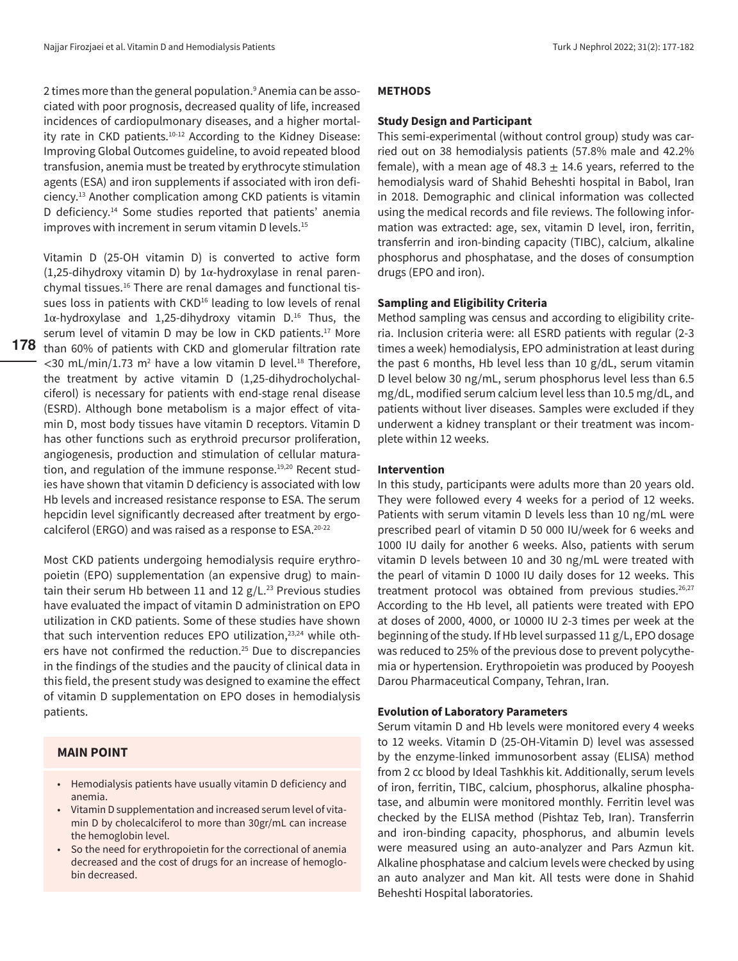2 times more than the general population.<sup>9</sup> Anemia can be associated with poor prognosis, decreased quality of life, increased incidences of cardiopulmonary diseases, and a higher mortality rate in CKD patients.<sup>10-12</sup> According to the Kidney Disease: Improving Global Outcomes guideline, to avoid repeated blood transfusion, anemia must be treated by erythrocyte stimulation agents (ESA) and iron supplements if associated with iron deficiency.[13](#page-4-11) Another complication among CKD patients is vitamin D deficiency.<sup>14</sup> Some studies reported that patients' anemia improves with increment in serum vitamin D levels.<sup>[15](#page-4-13)</sup>

**178** than 60% of patients with CKD and glomerular filtration rate Vitamin D (25-OH vitamin D) is converted to active form (1,25-dihydroxy vitamin D) by  $1\alpha$ -hydroxylase in renal parenchymal tissues.[16](#page-5-0) There are renal damages and functional tissues loss in patients with CKD<sup>16</sup> leading to low levels of renal  $1\alpha$ -hydroxylase and 1,25-dihydroxy vitamin D.<sup>[16](#page-5-0)</sup> Thus, the serum level of vitamin D may be low in CKD patients.<sup>17</sup> More  $<$ 30 mL/min/1.73 m<sup>[2](#page-4-0)</sup> have a low vitamin D level.<sup>18</sup> Therefore, the treatment by active vitamin D (1,25-dihydrocholychalciferol) is necessary for patients with end-stage renal disease (ESRD). Although bone metabolism is a major effect of vitamin D, most body tissues have vitamin D receptors. Vitamin D has other functions such as erythroid precursor proliferation, angiogenesis, production and stimulation of cellular matura-tion, and regulation of the immune response.<sup>[19,](#page-5-3)20</sup> Recent studies have shown that vitamin D deficiency is associated with low Hb levels and increased resistance response to ESA. The serum hepcidin level significantly decreased after treatment by ergocalciferol (ERGO) and was raised as a response to ESA[.20](#page-5-4)[-22](#page-5-5)

Most CKD patients undergoing hemodialysis require erythropoietin (EPO) supplementation (an expensive drug) to maintain their serum Hb between 11 and 12  $g/L^{23}$  Previous studies have evaluated the impact of vitamin D administration on EPO utilization in CKD patients. Some of these studies have shown that such intervention reduces EPO utilization,<sup>[23,](#page-5-6)24</sup> while others have not confirmed the reduction.<sup>25</sup> Due to discrepancies in the findings of the studies and the paucity of clinical data in this field, the present study was designed to examine the effect of vitamin D supplementation on EPO doses in hemodialysis patients.

# **MAIN POINT**

- Hemodialysis patients have usually vitamin D deficiency and anemia.
- Vitamin D supplementation and increased serum level of vitamin D by cholecalciferol to more than 30gr/mL can increase the hemoglobin level.
- So the need for erythropoietin for the correctional of anemia decreased and the cost of drugs for an increase of hemoglobin decreased.

## **METHODS**

# **Study Design and Participant**

This semi-experimental (without control group) study was carried out on 38 hemodialysis patients (57.8% male and 42.2% female), with a mean age of 48.3  $\pm$  14.6 years, referred to the hemodialysis ward of Shahid Beheshti hospital in Babol, Iran in 2018. Demographic and clinical information was collected using the medical records and file reviews. The following information was extracted: age, sex, vitamin D level, iron, ferritin, transferrin and iron-binding capacity (TIBC), calcium, alkaline phosphorus and phosphatase, and the doses of consumption drugs (EPO and iron).

# **Sampling and Eligibility Criteria**

Method sampling was census and according to eligibility criteria. Inclusion criteria were: all ESRD patients with regular (2-3 times a week) hemodialysis, EPO administration at least during the past 6 months, Hb level less than 10 g/dL, serum vitamin D level below 30 ng/mL, serum phosphorus level less than 6.5 mg/dL, modified serum calcium level less than 10.5 mg/dL, and patients without liver diseases. Samples were excluded if they underwent a kidney transplant or their treatment was incomplete within 12 weeks.

# **Intervention**

In this study, participants were adults more than 20 years old. They were followed every 4 weeks for a period of 12 weeks. Patients with serum vitamin D levels less than 10 ng/mL were prescribed pearl of vitamin D 50 000 IU/week for 6 weeks and 1000 IU daily for another 6 weeks. Also, patients with serum vitamin D levels between 10 and 30 ng/mL were treated with the pearl of vitamin D 1000 IU daily doses for 12 weeks. This treatment protocol was obtained from previous studies.<sup>26,[27](#page-5-10)</sup> According to the Hb level, all patients were treated with EPO at doses of 2000, 4000, or 10000 IU 2-3 times per week at the beginning of the study. If Hb level surpassed 11 g/L, EPO dosage was reduced to 25% of the previous dose to prevent polycythemia or hypertension. Erythropoietin was produced by Pooyesh Darou Pharmaceutical Company, Tehran, Iran.

# **Evolution of Laboratory Parameters**

Serum vitamin D and Hb levels were monitored every 4 weeks to 12 weeks. Vitamin D (25-OH-Vitamin D) level was assessed by the enzyme-linked immunosorbent assay (ELISA) method from 2 cc blood by Ideal Tashkhis kit. Additionally, serum levels of iron, ferritin, TIBC, calcium, phosphorus, alkaline phosphatase, and albumin were monitored monthly. Ferritin level was checked by the ELISA method (Pishtaz Teb, Iran). Transferrin and iron-binding capacity, phosphorus, and albumin levels were measured using an auto-analyzer and Pars Azmun kit. Alkaline phosphatase and calcium levels were checked by using an auto analyzer and Man kit. All tests were done in Shahid Beheshti Hospital laboratories.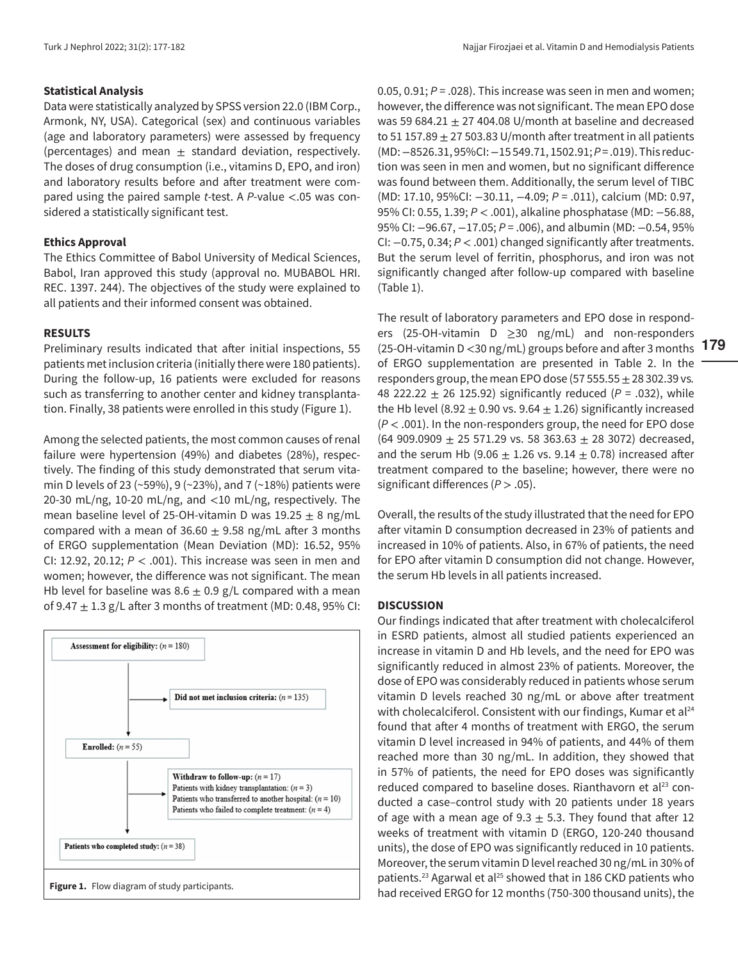### **Statistical Analysis**

Data were statistically analyzed by SPSS version 22.0 (IBM Corp., Armonk, NY, USA). Categorical (sex) and continuous variables (age and laboratory parameters) were assessed by frequency (percentages) and mean  $\pm$  standard deviation, respectively. The doses of drug consumption (i.e., vitamins D, EPO, and iron) and laboratory results before and after treatment were compared using the paired sample *t*-test. A *P*-value <.05 was considered a statistically significant test.

## **Ethics Approval**

The Ethics Committee of Babol University of Medical Sciences, Babol, Iran approved this study (approval no. MUBABOL HRI. REC. 1397. 244). The objectives of the study were explained to all patients and their informed consent was obtained.

### **RESULTS**

Preliminary results indicated that after initial inspections, 55 patients met inclusion criteria (initially there were 180 patients). During the follow-up, 16 patients were excluded for reasons such as transferring to another center and kidney transplantation. Finally, 38 patients were enrolled in this study (Figure 1).

Among the selected patients, the most common causes of renal failure were hypertension (49%) and diabetes (28%), respectively. The finding of this study demonstrated that serum vitamin D levels of 23 (~59%), 9 (~23%), and 7 (~18%) patients were 20-30 mL/ng, 10-20 mL/ng, and <10 mL/ng, respectively. The mean baseline level of 25-OH-vitamin D was  $19.25 \pm 8$  ng/mL compared with a mean of 36.60  $\pm$  9.58 ng/mL after 3 months of ERGO supplementation (Mean Deviation (MD): 16.52, 95% CI: 12.92, 20.12; *P* < .001). This increase was seen in men and women; however, the difference was not significant. The mean Hb level for baseline was  $8.6 \pm 0.9$  g/L compared with a mean of 9.47  $\pm$  1.3 g/L after 3 months of treatment (MD: 0.48, 95% CI:



0.05, 0.91; *P* = .028). This increase was seen in men and women; however, the difference was not significant. The mean EPO dose was 59 684.21  $\pm$  27 404.08 U/month at baseline and decreased to 51 157.89  $\pm$  27 503.83 U/month after treatment in all patients (MD: −8526.31, 95%CI: −15 549.71, 1502.91; *P* = .019). This reduction was seen in men and women, but no significant difference was found between them. Additionally, the serum level of TIBC (MD: 17.10, 95%CI: −30.11, −4.09; *P* = .011), calcium (MD: 0.97, 95% CI: 0.55, 1.39; *P* < .001), alkaline phosphatase (MD: −56.88, 95% CI: −96.67, −17.05; *P* = .006), and albumin (MD: −0.54, 95% CI: −0.75, 0.34; *P* < .001) changed significantly after treatments. But the serum level of ferritin, phosphorus, and iron was not significantly changed after follow-up compared with baseline ([Table 1\)](#page-3-0).

**179** (25-OH-vitamin D <30 ng/mL) groups before and after 3 months The result of laboratory parameters and EPO dose in responders (25-OH-vitamin D ≥30 ng/mL) and non-responders of ERGO supplementation are presented in [Table 2.](#page-3-0) In the responders group, the mean EPO dose  $(5755.55 \pm 28302.39 \text{ vs.})$ 48 222.22 ± 26 125.92) significantly reduced (*P* = .032), while the Hb level (8.92  $\pm$  0.90 vs. 9.64  $\pm$  1.26) significantly increased (*P* < .001). In the non-responders group, the need for EPO dose  $(64 909.0909 \pm 25 571.29 \text{ vs. } 58 363.63 \pm 28 3072)$  decreased, and the serum Hb (9.06  $\pm$  1.26 vs. 9.14  $\pm$  0.78) increased after treatment compared to the baseline; however, there were no significant differences (*P* > .05).

Overall, the results of the study illustrated that the need for EPO after vitamin D consumption decreased in 23% of patients and increased in 10% of patients. Also, in 67% of patients, the need for EPO after vitamin D consumption did not change. However, the serum Hb levels in all patients increased.

## **DISCUSSION**

Our findings indicated that after treatment with cholecalciferol in ESRD patients, almost all studied patients experienced an increase in vitamin D and Hb levels, and the need for EPO was significantly reduced in almost 23% of patients. Moreover, the dose of EPO was considerably reduced in patients whose serum vitamin D levels reached 30 ng/mL or above after treatment with cholecalciferol. Consistent with our findings, Kumar et  $al<sup>24</sup>$  $al<sup>24</sup>$  $al<sup>24</sup>$ found that after 4 months of treatment with ERGO, the serum vitamin D level increased in 94% of patients, and 44% of them reached more than 30 ng/mL. In addition, they showed that in 57% of patients, the need for EPO doses was significantly reduced compared to baseline doses. Rianthavorn et al<sup>23</sup> conducted a case–control study with 20 patients under 18 years of age with a mean age of 9.3  $\pm$  5.3. They found that after 12 weeks of treatment with vitamin D (ERGO, 120-240 thousand units), the dose of EPO was significantly reduced in 10 patients. Moreover, the serum vitamin D level reached 30 ng/mL in 30% of patients.<sup>23</sup> Agarwal et al<sup>25</sup> showed that in 186 CKD patients who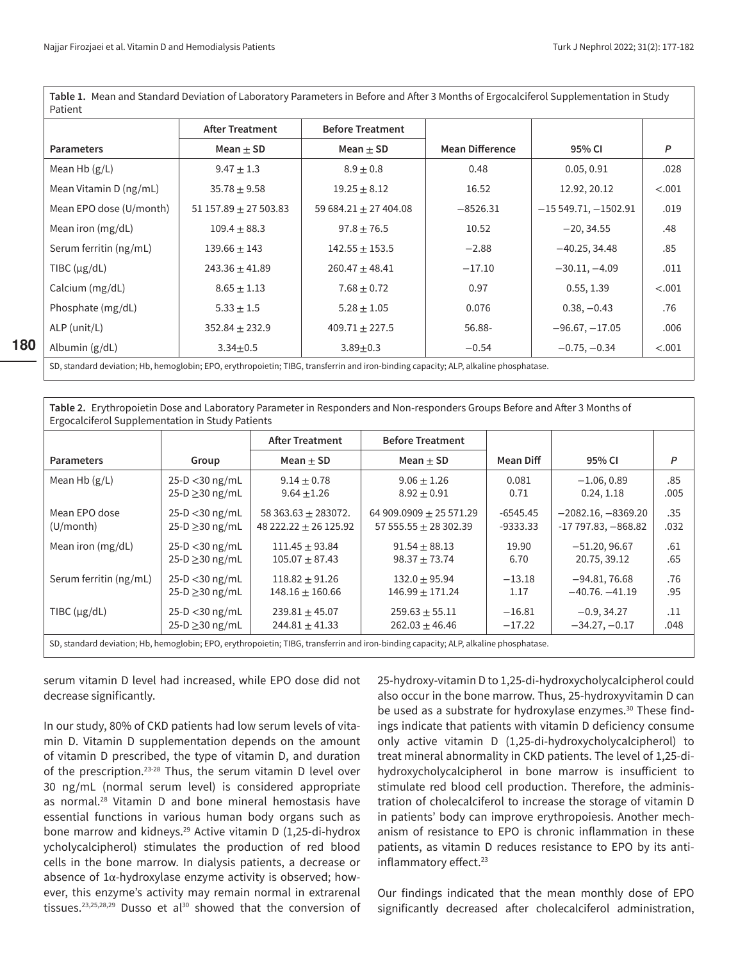**180**

<span id="page-3-0"></span>**Table 1.** Mean and Standard Deviation of Laboratory Parameters in Before and After 3 Months of Ergocalciferol Supplementation in Study Patient

|                         | <b>After Treatment</b>  | <b>Before Treatment</b>   |                        |                       |        |
|-------------------------|-------------------------|---------------------------|------------------------|-----------------------|--------|
| <b>Parameters</b>       | Mean $\pm$ SD           | Mean $\pm$ SD             | <b>Mean Difference</b> | 95% CI                | P      |
| Mean Hb $(g/L)$         | $9.47 \pm 1.3$          | $8.9 \pm 0.8$             | 0.48                   | 0.05, 0.91            | .028   |
| Mean Vitamin D (ng/mL)  | $35.78 \pm 9.58$        | $19.25 \pm 8.12$          | 16.52                  | 12.92, 20.12          | < .001 |
| Mean EPO dose (U/month) | $51157.89 \pm 27503.83$ | 59 684.21 $\pm$ 27 404.08 | $-8526.31$             | $-15549.71, -1502.91$ | .019   |
| Mean iron $(mg/dL)$     | $109.4 \pm 88.3$        | $97.8 \pm 76.5$           | 10.52                  | $-20, 34.55$          | .48    |
| Serum ferritin (ng/mL)  | $139.66 \pm 143$        | $142.55 \pm 153.5$        | $-2.88$                | $-40.25, 34.48$       | .85    |
| TIBC $(\mu g/dL)$       | $243.36 \pm 41.89$      | $260.47 \pm 48.41$        | $-17.10$               | $-30.11, -4.09$       | .011   |
| Calcium (mg/dL)         | $8.65 \pm 1.13$         | $7.68 \pm 0.72$           | 0.97                   | 0.55, 1.39            | < .001 |
| Phosphate (mg/dL)       | $5.33 \pm 1.5$          | $5.28 \pm 1.05$           | 0.076                  | $0.38, -0.43$         | .76    |
| ALP (unit/L)            | $352.84 \pm 232.9$      | $409.71 \pm 227.5$        | 56.88-                 | $-96.67, -17.05$      | .006   |
| Albumin $(g/dL)$        | $3.34 \pm 0.5$          | $3.89 + 0.3$              | $-0.54$                | $-0.75, -0.34$        | < .001 |

SD, standard deviation; Hb, hemoglobin; EPO, erythropoietin; TIBG, transferrin and iron-binding capacity; ALP, alkaline phosphatase.

| Table 2. Erythropoietin Dose and Laboratory Parameter in Responders and Non-responders Groups Before and After 3 Months of<br>Ergocalciferol Supplementation in Study Patients |                      |                         |                             |            |                      |      |  |  |  |  |
|--------------------------------------------------------------------------------------------------------------------------------------------------------------------------------|----------------------|-------------------------|-----------------------------|------------|----------------------|------|--|--|--|--|
|                                                                                                                                                                                |                      | <b>After Treatment</b>  | <b>Before Treatment</b>     |            |                      |      |  |  |  |  |
| <b>Parameters</b>                                                                                                                                                              | Group                | Mean $\pm$ SD           | Mean $\pm$ SD               | Mean Diff  | 95% CI               | P    |  |  |  |  |
| Mean Hb $(g/L)$                                                                                                                                                                | $25-D < 30$ ng/mL    | $9.14 \pm 0.78$         | $9.06 \pm 1.26$             | 0.081      | $-1.06, 0.89$        | .85  |  |  |  |  |
|                                                                                                                                                                                | $25-D \ge 30$ ng/mL  | $9.64 \pm 1.26$         | $8.92 \pm 0.91$             | 0.71       | 0.24, 1.18           | .005 |  |  |  |  |
| Mean EPO dose                                                                                                                                                                  | $25-D < 30$ ng/mL    | 58 363.63 $\pm$ 283072. | 64 909.0909 $\pm$ 25 571.29 | $-6545.45$ | $-2082.16, -8369.20$ | .35  |  |  |  |  |
| (U/month)                                                                                                                                                                      | $25-D \ge 30$ ng/mL  | $48222.22 \pm 26125.92$ | 57 555.55 $\pm$ 28 302.39   | $-9333.33$ | $-17797.83, -868.82$ | .032 |  |  |  |  |
| Mean iron (mg/dL)                                                                                                                                                              | $25-D < 30$ ng/mL    | $111.45 \pm 93.84$      | $91.54 + 88.13$             | 19.90      | $-51.20, 96.67$      | .61  |  |  |  |  |
|                                                                                                                                                                                | $25-D \geq 30$ ng/mL | $105.07 \pm 87.43$      | $98.37 \pm 73.74$           | 6.70       | 20.75, 39.12         | .65  |  |  |  |  |
| Serum ferritin (ng/mL)                                                                                                                                                         | $25-D < 30$ ng/mL    | $118.82 + 91.26$        | $132.0 + 95.94$             | $-13.18$   | $-94.81, 76.68$      | .76  |  |  |  |  |
|                                                                                                                                                                                | $25-D > 30$ ng/mL    | $148.16 \pm 160.66$     | $146.99 \pm 171.24$         | 1.17       | $-40.76, -41.19$     | .95  |  |  |  |  |
| TIBC $(\mu g/dL)$                                                                                                                                                              | $25-D < 30$ ng/mL    | $239.81 \pm 45.07$      | $259.63 \pm 55.11$          | $-16.81$   | $-0.9, 34.27$        | .11  |  |  |  |  |
|                                                                                                                                                                                | $25-D \geq 30$ ng/mL | $244.81 \pm 41.33$      | $262.03 \pm 46.46$          | $-17.22$   | $-34.27, -0.17$      | .048 |  |  |  |  |
| SD, standard deviation; Hb, hemoglobin; EPO, erythropoietin; TIBG, transferrin and iron-binding capacity; ALP, alkaline phosphatase.                                           |                      |                         |                             |            |                      |      |  |  |  |  |

serum vitamin D level had increased, while EPO dose did not decrease significantly.

In our study, 80% of CKD patients had low serum levels of vitamin D. Vitamin D supplementation depends on the amount of vitamin D prescribed, the type of vitamin D, and duration of the prescription.<sup>23-28</sup> Thus, the serum vitamin D level over 30 ng/mL (normal serum level) is considered appropriate as normal.[28](#page-5-11) Vitamin D and bone mineral hemostasis have essential functions in various human body organs such as bone marrow and kidneys.<sup>29</sup> Active vitamin D (1,25-di-hydrox ycholycalcipherol) stimulates the production of red blood cells in the bone marrow. In dialysis patients, a decrease or absence of  $1\alpha$ -hydroxylase enzyme activity is observed; however, this enzyme's activity may remain normal in extrarenal tissues.<sup>[23](#page-5-6),[25,](#page-5-8)[28](#page-5-11)[,29](#page-5-12)</sup> Dusso et al<sup>[30](#page-5-13)</sup> showed that the conversion of 25-hydroxy-vitamin D to 1,25-di-hydroxycholycalcipherol could also occur in the bone marrow. Thus, 25-hydroxyvitamin D can be used as a substrate for hydroxylase enzymes.<sup>30</sup> These findings indicate that patients with vitamin D deficiency consume only active vitamin D (1,25-di-hydroxycholycalcipherol) to treat mineral abnormality in CKD patients. The level of 1,25-dihydroxycholycalcipherol in bone marrow is insufficient to stimulate red blood cell production. Therefore, the administration of cholecalciferol to increase the storage of vitamin D in patients' body can improve erythropoiesis. Another mechanism of resistance to EPO is chronic inflammation in these patients, as vitamin D reduces resistance to EPO by its antiinflammatory effect.<sup>23</sup>

Our findings indicated that the mean monthly dose of EPO significantly decreased after cholecalciferol administration,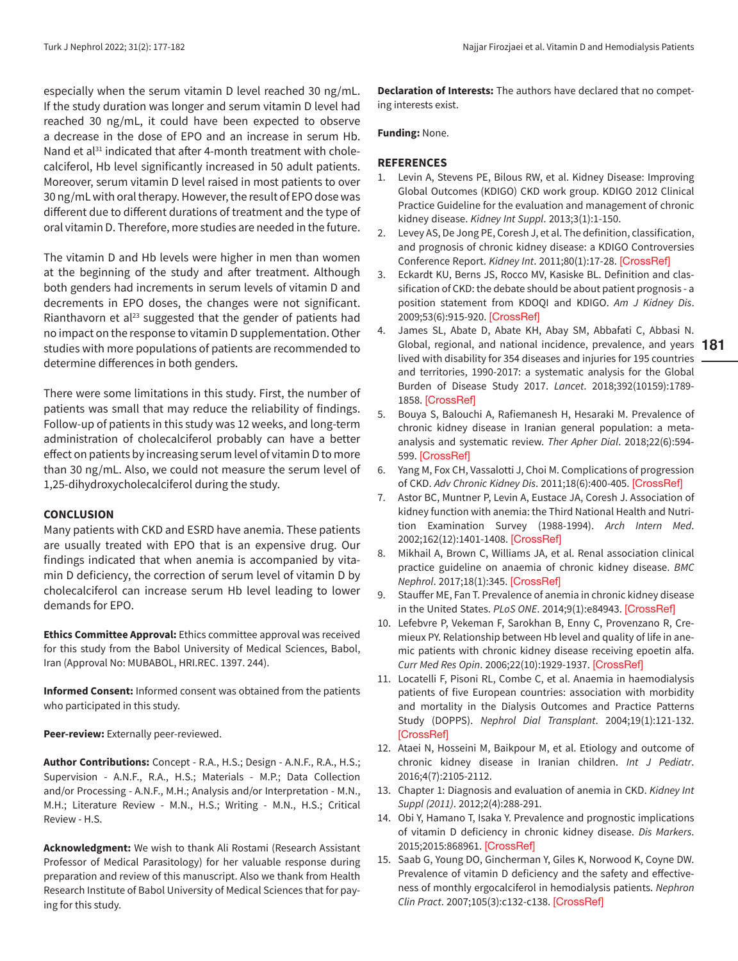especially when the serum vitamin D level reached 30 ng/mL. If the study duration was longer and serum vitamin D level had reached 30 ng/mL, it could have been expected to observe a decrease in the dose of EPO and an increase in serum Hb. Nand et al<sup>31</sup> indicated that after 4-month treatment with cholecalciferol, Hb level significantly increased in 50 adult patients. Moreover, serum vitamin D level raised in most patients to over 30 ng/mL with oral therapy. However, the result of EPO dose was different due to different durations of treatment and the type of oral vitamin D. Therefore, more studies are needed in the future.

The vitamin D and Hb levels were higher in men than women at the beginning of the study and after treatment. Although both genders had increments in serum levels of vitamin D and decrements in EPO doses, the changes were not significant. Rianthavorn et al $^{23}$  suggested that the gender of patients had no impact on the response to vitamin D supplementation. Other studies with more populations of patients are recommended to determine differences in both genders.

There were some limitations in this study. First, the number of patients was small that may reduce the reliability of findings. Follow-up of patients in this study was 12 weeks, and long-term administration of cholecalciferol probably can have a better effect on patients by increasing serum level of vitamin D to more than 30 ng/mL. Also, we could not measure the serum level of 1,25-dihydroxycholecalciferol during the study.

#### **CONCLUSION**

Many patients with CKD and ESRD have anemia. These patients are usually treated with EPO that is an expensive drug. Our findings indicated that when anemia is accompanied by vitamin D deficiency, the correction of serum level of vitamin D by cholecalciferol can increase serum Hb level leading to lower demands for EPO.

**Ethics Committee Approval:** Ethics committee approval was received for this study from the Babol University of Medical Sciences, Babol, Iran (Approval No: MUBABOL, HRI.REC. 1397. 244).

**Informed Consent:** Informed consent was obtained from the patients who participated in this study.

**Peer-review:** Externally peer-reviewed.

**Author Contributions:** Concept - R.A., H.S.; Design - A.N.F., R.A., H.S.; Supervision - A.N.F., R.A., H.S.; Materials - M.P.; Data Collection and/or Processing - A.N.F., M.H.; Analysis and/or Interpretation - M.N., M.H.; Literature Review - M.N., H.S.; Writing - M.N., H.S.; Critical Review - H.S.

**Acknowledgment:** We wish to thank Ali Rostami (Research Assistant Professor of Medical Parasitology) for her valuable response during preparation and review of this manuscript. Also we thank from Health Research Institute of Babol University of Medical Sciences that for paying for this study.

**Declaration of Interests:** The authors have declared that no competing interests exist.

**Funding:** None.

## **REFERENCES**

- <span id="page-4-1"></span>1. Levin A, Stevens PE, Bilous RW, et al. Kidney Disease: Improving Global Outcomes (KDIGO) CKD work group. KDIGO 2012 Clinical Practice Guideline for the evaluation and management of chronic kidney disease. *Kidney Int Suppl*. 2013;3(1):1-150.
- <span id="page-4-0"></span>2. Levey AS, De Jong PE, Coresh J, et al. The definition, classification, and prognosis of chronic kidney disease: a KDIGO Controversies Conference Report. *Kidney Int*. 2011;80(1):17-28. [\[CrossRef\]](https://doi.org/10.1038/ki.2010.483)
- <span id="page-4-2"></span>3. Eckardt KU, Berns JS, Rocco MV, Kasiske BL. Definition and classification of CKD: the debate should be about patient prognosis - a position statement from KDOQI and KDIGO. *Am J Kidney Dis*. 2009;53(6):915-920. [\[CrossRef\]](https://doi.org/10.1053/j.ajkd.2009.04.001)
- <span id="page-4-3"></span>**181** Global, regional, and national incidence, prevalence, and years 4. James SL, Abate D, Abate KH, Abay SM, Abbafati C, Abbasi N. lived with disability for 354 diseases and injuries for 195 countries and territories, 1990-2017: a systematic analysis for the Global Burden of Disease Study 2017. *Lancet*. 2018;392(10159):1789- 1858. [\[CrossRef\]](https://doi.org/10.1016/S0140-6736(18)32279-7)
- <span id="page-4-4"></span>5. Bouya S, Balouchi A, Rafiemanesh H, Hesaraki M. Prevalence of chronic kidney disease in Iranian general population: a meta‐ analysis and systematic review. *Ther Apher Dial*. 2018;22(6):594- 599. [\[CrossRef\]](https://doi.org/10.1111/1744-9987.12716)
- <span id="page-4-5"></span>6. Yang M, Fox CH, Vassalotti J, Choi M. Complications of progression of CKD. *Adv Chronic Kidney Dis*. 2011;18(6):400-405. [\[CrossRef\]](https://doi.org/10.1053/j.ackd.2011.10.001)
- <span id="page-4-6"></span>7. Astor BC, Muntner P, Levin A, Eustace JA, Coresh J. Association of kidney function with anemia: the Third National Health and Nutrition Examination Survey (1988-1994). *Arch Intern Med*. 2002;162(12):1401-1408. [\[CrossRef\]](https://doi.org/10.1001/archinte.162.12.1401)
- <span id="page-4-7"></span>8. Mikhail A, Brown C, Williams JA, et al. Renal association clinical practice guideline on anaemia of chronic kidney disease. *BMC Nephrol*. 2017;18(1):345. [\[CrossRef\]](https://doi.org/10.1186/s12882-017-0688-1)
- <span id="page-4-8"></span>9. Stauffer ME, Fan T. Prevalence of anemia in chronic kidney disease in the United States. *PLoS ONE*. 2014;9(1):e84943. [\[CrossRef\]](https://doi.org/10.1371/journal.pone.0084943)
- <span id="page-4-9"></span>10. Lefebvre P, Vekeman F, Sarokhan B, Enny C, Provenzano R, Cremieux PY. Relationship between Hb level and quality of life in anemic patients with chronic kidney disease receiving epoetin alfa. *Curr Med Res Opin*. 2006;22(10):1929-1937. [\[CrossRef\]](https://doi.org/10.1185/030079906X132541)
- 11. Locatelli F, Pisoni RL, Combe C, et al. Anaemia in haemodialysis patients of five European countries: association with morbidity and mortality in the Dialysis Outcomes and Practice Patterns Study (DOPPS). *Nephrol Dial Transplant*. 2004;19(1):121-132. [\[CrossRef\]](https://doi.org/10.1093/ndt/gfg458)
- <span id="page-4-10"></span>12. Ataei N, Hosseini M, Baikpour M, et al. Etiology and outcome of chronic kidney disease in Iranian children. *Int J Pediatr*. 2016;4(7):2105-2112.
- <span id="page-4-11"></span>13. Chapter 1: Diagnosis and evaluation of anemia in CKD. *Kidney Int Suppl (2011)*. 2012;2(4):288-291.
- <span id="page-4-12"></span>14. Obi Y, Hamano T, Isaka Y. Prevalence and prognostic implications of vitamin D deficiency in chronic kidney disease. *Dis Markers*. 2015;2015:868961. [\[CrossRef\]](https://doi.org/10.1155/2015/868961)
- <span id="page-4-13"></span>15. Saab G, Young DO, Gincherman Y, Giles K, Norwood K, Coyne DW. Prevalence of vitamin D deficiency and the safety and effectiveness of monthly ergocalciferol in hemodialysis patients. *Nephron Clin Pract*. 2007;105(3):c132-c138. [\[CrossRef\]](https://doi.org/10.1159/000098645)